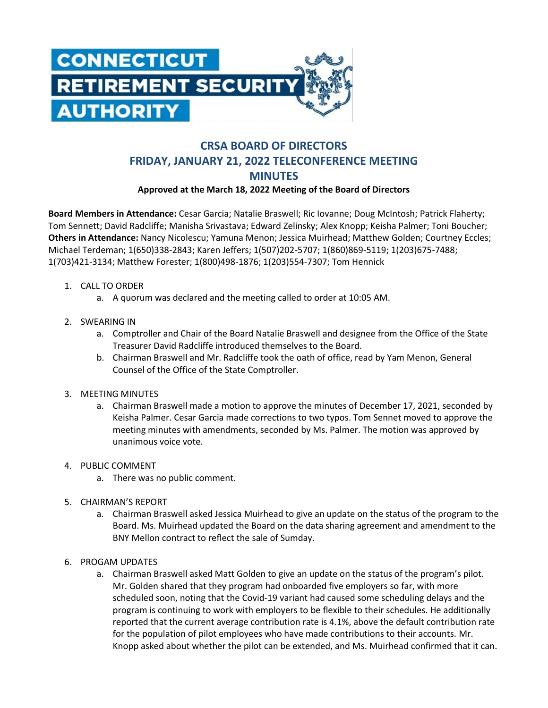

## **CRSA BOARD OF DIRECTORS FRIDAY, JANUARY 21, 2022 TELECONFERENCE MEETING MINUTES**

## **Approved at the March 18, 2022 Meeting of the Board of Directors**

**Board Members in Attendance:** Cesar Garcia; Natalie Braswell; Ric Iovanne; Doug McIntosh; Patrick Flaherty; Tom Sennett; David Radcliffe; Manisha Srivastava; Edward Zelinsky; Alex Knopp; Keisha Palmer; Toni Boucher; **Others in Attendance:** Nancy Nicolescu; Yamuna Menon; Jessica Muirhead; Matthew Golden; Courtney Eccles; Michael Terdeman; 1(650)338-2843; Karen Jeffers; 1(507)202-5707; 1(860)869-5119; 1(203)675-7488; 1(703)421-3134; Matthew Forester; 1(800)498-1876; 1(203)554-7307; Tom Hennick

- 1. CALL TO ORDER
	- a. A quorum was declared and the meeting called to order at 10:05 AM.
- 2. SWEARING IN
	- a. Comptroller and Chair of the Board Natalie Braswell and designee from the Office of the State Treasurer David Radcliffe introduced themselves to the Board.
	- b. Chairman Braswell and Mr. Radcliffe took the oath of office, read by Yam Menon, General Counsel of the Office of the State Comptroller.
- 3. MEETING MINUTES
	- a. Chairman Braswell made a motion to approve the minutes of December 17, 2021, seconded by Keisha Palmer. Cesar Garcia made corrections to two typos. Tom Sennet moved to approve the meeting minutes with amendments, seconded by Ms. Palmer. The motion was approved by unanimous voice vote.
- 4. PUBLIC COMMENT
	- a. There was no public comment.
- 5. CHAIRMAN'S REPORT
	- a. Chairman Braswell asked Jessica Muirhead to give an update on the status of the program to the Board. Ms. Muirhead updated the Board on the data sharing agreement and amendment to the BNY Mellon contract to reflect the sale of Sumday.
- 6. PROGAM UPDATES
	- a. Chairman Braswell asked Matt Golden to give an update on the status of the program's pilot. Mr. Golden shared that they program had onboarded five employers so far, with more scheduled soon, noting that the Covid-19 variant had caused some scheduling delays and the program is continuing to work with employers to be flexible to their schedules. He additionally reported that the current average contribution rate is 4.1%, above the default contribution rate for the population of pilot employees who have made contributions to their accounts. Mr. Knopp asked about whether the pilot can be extended, and Ms. Muirhead confirmed that it can.